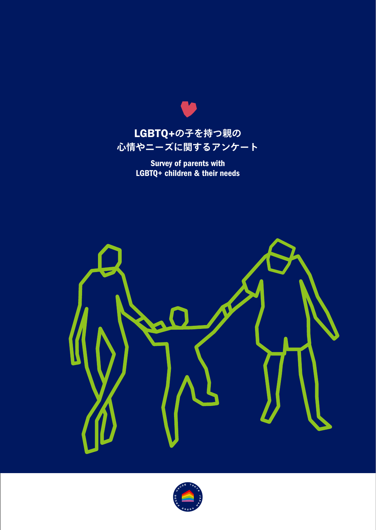

 $\bullet$ 

Survey of parents with LGBTQ+ children & their needs



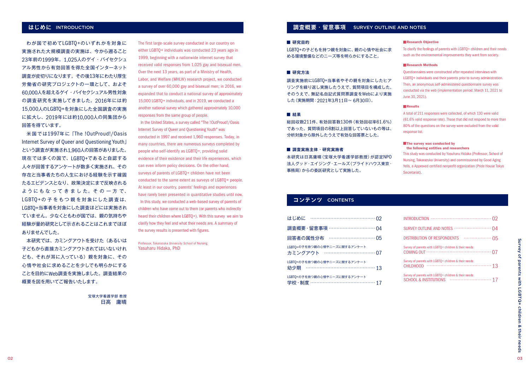わが国で初めてLGBTQ+のいずれかを対象に 実施された大規模調査の実施は、今から遡ること 23年前の1999年。1,025人のゲイ・バイセクシュ アル男性から有効回答を得た全国インターネット 調査が皮切りになります。その後13年にわたり厚生 労働省の研究プロジェクトの一環として、およそ 60,000人を超えるゲイ・バイセクシュアル男性対象 の調査研究を実施してきました。2016年には約 15,000人のLGBTQ+を対象にした全国調査の実施 に拡大し、2019年には約10,000人の同集団から 回答を得ています。

米国では1997年に「The !OutProud!/Oasis Internet Survey of Queer and Questioning Youth」 という調査が実施され1,960人の回答がありました。 現在では多くの国で、LGBTQ+であると自認する 人々が回答するアンケートが数多く実施され、その 存在と当事者たちの人生における経験を示す確固 たるエビデンスとなり、政策決定にまで反映される ようにもなってきました。 その一方で、 LGBTQ+の子をもつ親を対象にした調査は、 LGBTQ+当事者を対象にした調査ほどには実施され ていません。少なくともわが国では、親の気持ちや 経験が量的研究として示されることはこれまでほぼ ありませんでした。

本研究では、カミングアウトを受けた(あるいは 子どもから直接カミングアウトされてはいないけれ ども、それが耳に入っている)親を対象に、その 心情や社会に求めることを少しでも明らかにする ことを目的にWeb調査を実施しました。調査結果の 概要を図を用いてご報告いたします。

> 宝塚大学看護学部 教授 日高 庸晴

The first large-scale survey conducted in our country on either LGBTQ+ individuals was conducted 23 years ago in 1999, beginning with a nationwide internet survey that received valid responses from 1,025 gay and bisexual men. Over the next 13 years, as part of a Ministry of Health, Labor, and Welfare (MHLW) research project, we conducted a survey of over 60,000 gay and bisexual men; in 2016, we expanded that to conduct a national survey of approximately 15,000 LGBTQ+ individuals, and in 2019, we conducted a another national survey which gathered approximately 10,000 responses from the same group of people.

 In the United States, a survey called "The !OutProud!/Oasis Internet Survey of Queer and Questioning Youth" was conducted in 1997 and received 1,960 responses. Today, in many countries, there are numerous surveys completed by people who self-identify as LGBTQ+, providing solid evidence of their existence and their life experiences, which can even inform policy decisions. On the other hand, surveys of parents of LGBTQ+ children have not been conducted to the same extent as surveys of LGBTQ+ people. At least in our country, parents' feelings and experiences have rarely been presented in quantitative studies until now. In this study, we conducted a web-based survey of parents of children who have come out to them (or parents who indirectly heard their children where LGBTQ+). With this survey we aim to clarify how they feel and what their needs are. A summary of the survey results is presented with figures.

Professor, Takarazuka University School of Nursing Yasuharu Hidaka, PhD

# **はじめに** INTRODUCTION **調査概要・留意事項** SURVEY OUTLINE AND NOTES

#### **■ 研究目的**

LGBTQ+の子どもを持つ親を対象に、親の心情や社会に求 める環境整備などのニーズ等を明らかにすること。

### **■ 研究方法**

調査実施前にLGBTQ+当事者やその親を対象にしたヒア リングを繰り返し実施したうえで、質問項目を構成した。 そのうえで、無記名自記式質問票調査をWebにより実施 した(実施期間:2021年3月11日~ 6月30日)。

#### **■ 結果**

総回収数211件、有効回答数130件(有効回収率61.6%) であった。質問項目の8割以上回答していないもの等は、 分析対象から除外したうえで有効な回答票とした。

#### **■ 調査実施主体・研究実施者**

本研究は日高庸晴(宝塚大学看護学部教授)が認定NPO 法人グッド・エイジング・エールズ(プライドハウス東京・ 事務局)からの委託研究として実施した。

#### ■Research Objective

To clarify the feelings of parents with LGBTQ+ children and their needs such as the environmental improvements they want from society.

#### ■Research Methods

Questionnaires were constructed after repeated interviews with LGBTQ+ individuals and their parents prior to survey administration. Then, an anonymous self-administered questionnaire survey was conducted via the web (implementation period: March 11, 2021 to June 30, 2021).

#### ■**Results**

A total of 211 responses were collected, of which 130 were valid (61.6% valid response rate). Those that did not respond to more than 80% of the questions on the survey were excluded from the valid response list.

#### **The survey was conducted by** the following entities and researchers

This study was conducted by Yasuharu Hidaka (Professor, School of Nursing, Takarazuka University) and commissioned by Good Aging Yells, a Approved certified nonprofit organization (Pride House Tokyo Secretariat).

# **コンテンツ** CONTENTS

| はじめに                                                    |
|---------------------------------------------------------|
| 調査概要 · 留意事項 ………………………… 04                               |
| 回答者の属性分布 ………………………… 05                                  |
| LGBTQ+の子を持つ親の心情やニーズに関するアンケート<br>カミングアウト …………………………… 07  |
| LGBTQ+の子を持つ親の心情やニーズに関するアンケート<br>幼少期 ………………………………………… 13 |
| LGBTQ+の子を持つ親の心情やニーズに関するアンケート<br>学校·制度 …………………………………… 17 |

| DISTRIBUTION OF RESPONDENTS  05                      |
|------------------------------------------------------|
| Survey of parents with LGBTO+ children & their needs |
| Survey of parents with LGBTQ+ children & their needs |
| Survey of parents with LGBTO+ children & their needs |

# Survey Survey of parents with LGBTQ+ children & their needs  $\mathsf{Q}_\mathsf{t}$ parents with **LGBTQ+** children ⊗ their nee <u>ã</u> 02 03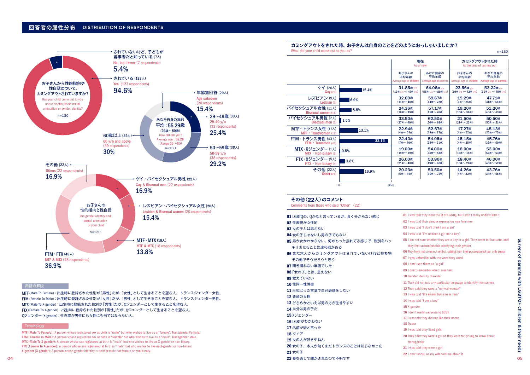

#### 用語の解説

MTF(Male To Female):出生時に登録された性別が「男性」だが、「女性」として生きることを望む人。トランスジェンダー女性。 FTM(Female To Male):出生時に登録された性別が「女性」だが、「男性」として生きることを望む人。トランスジェンダー男性。 MTX(Male To X-gender):出生時に登録された性別が「男性」だが、Xジェンダーとして生きることを望む人。 FTX(Female To X-gender):出生時に登録された性別が「男性」だが、Xジェンダーとして生きることを望む人。 Xジェンダー(X-gender):性自認が男性にも女性にも当てはならない人。

#### **Terminology**

MTF (Male To Female): A person whose registered sex at birth is "male" but who wishes to live as a "female". Transgender Female. FTM (Female To Male): A person whose registered sex at birth is "female" but who wishes to live as a "male". Transgender Male. MTX (Male To X-gender): A person whose sex registered at birth is "male" but who wishes to live as X-gender or non-binary. FTX (Female To X-gender): a person whose sex registered at birth is "male" but who wishes to live as X-gender or non-binary. X-gender (X-gender): A person whose gender identity is neither male nor female or non-binary.

# **カミングアウトをされた時、お子さんは自身のことをどのようにおっしゃいましたか?**

What did your child come out to you as?

|                                   |       | 現在<br>As of now                                  |                                          | カミングアウトされた時<br>At the time of coming out |                                          |
|-----------------------------------|-------|--------------------------------------------------|------------------------------------------|------------------------------------------|------------------------------------------|
|                                   |       | お子さんの<br>平均年齢<br>Average age of children         | あなた自身の<br>平均年齢<br>Average age of parents | お子さんの<br>平均年齢<br>Average age of children | あなた自身の<br>平均年齢<br>Average age of parents |
| ゲイ (20人)                          | 15.4% | 31.85歳 y/o                                       | 64.06歳 v/o                               | 23.56歳 v/o                               | 53.22歳 v/o                               |
| $\mathbf{Gay}$ (20)               |       | $(13$ 歳 $_{\rm V/0}$ $\sim$ $47$ 歳 $_{\rm V/0})$ | $(55$ 歳 v/o ~ 80歳 v/o)                   | $(10$ 歳 $\rm v/o \sim 42$ 歳 $\rm v/o)$   | $(30$ 歳 v/o ~ 75歳 v/o)                   |
| レズビアン (9人)                        | 6.9%  | 32.89歳                                           | 59.67歳                                   | 19.29歳                                   | 47.71歳                                   |
| Lesbian $(9)$                     |       | $(11$ 歳 $\sim$ 48歳)                              | (44歳~72歳)                                | $(9\texttt{)}\sim 25\texttt{)}$          | (41歳~56歳)                                |
| バイセクシュアル女性 (11人)                  | 8.5%  | 24.36歳                                           | 57.17歳                                   | 19.20歳                                   | 51.20歳                                   |
| <b>Bisexual women (11)</b>        |       | (10歳~ 49歳)                                       | (45歳~76歳)                                | $(10$ 歳~ 36歳)                            | (40歳~ 63歳)                               |
| バイセクシュアル男性 (2人)                   | 1.5%  | 33.50歳                                           | 62.50歳                                   | 21.50歳                                   | 50.50歳                                   |
| <b>Bisexual men (2)</b>           |       | (27歳~ 40歳)                                       | $(56 \times 69 \times)$                  | (21歳~ 22歳)                               | $(50$ 歳 $\sim$ 51歳)                      |
| MTF・トランス女性 (17人)                  | 13.1% | 22.94歳                                           | 52.67歳                                   | 17.27歳                                   | 45.13歳                                   |
| MTF • Transwomen (17)             |       | (4歳~ 53歳)                                        | (29歳~77歳)                                | $(4\texttt{m}\sim52\texttt{m})$          | (25歳~75歳)                                |
| <b>FTM・トランス男性 (43人)</b>           | 33.1% | 22.40歳                                           | 54.05歳                                   | 15.15歳                                   | 45.76歳                                   |
| $FTM \cdot Transmen (43)$         |       | $(7$ 歳 $\sim$ 40歳)                               | (33歳~71歳)                                | $(4\texttt{g} \sim 25\texttt{g})$        | $(32\texttt{g}\sim 60\texttt{g})$        |
| MTX · Xジェンダー (1人)                 | 0.8%  | 19.00歳                                           | 54.00歳                                   | 18.00歳                                   | 53.00歳                                   |
| $MTX \cdot Non\text{-}binary (1)$ |       | $(19\texttt{g}\sim19\texttt{g})$                 | (54歳~ 54歳)                               | (18歳~18歳)                                | (53歳~53歳)                                |
| <b>FTX ・ Xジェンダー</b> (5人)          | 3.8%  | 26.00歳                                           | 53.80歳                                   | 18.40歳                                   | 46.00歳                                   |
| $FTX \cdot Non-binary(5)$         |       | (21歳~ 40歳)                                       | (49歳~ 60歳)                               | $(15$ 歳~ 20歳)                            | (40歳~52歳)                                |
| その他 (22人)                         | 16.9% | 20.23歳                                           | 50.50歳                                   | 14.26歳                                   | 43.76歳                                   |
| Other $(22)$                      |       | $(5$ 歳 $\sim$ 44歳)                               | (39歳~74歳)                                | $(4\texttt{)}\sim 22\texttt{)}$          | (34歳~56歳)                                |
|                                   | 0     | 35%                                              |                                          |                                          |                                          |

#### **その他(**22**人)のコメント** Comments from those who said "Other" (22)

01 LGBTQの、Qかなと言っているが、良く分からない感じ 02 性表現が女性的 03 女の子とは思えない 04 女の子じゃないし男の子でもない 05 男か女かわからない。何かもっと揺れてる感じで、性別をハッ キリさせることに違和感がある 06 まだ本人からカミングアウトはされていないけれど持ち物 その他でそうだろうと思う 07 聞き慣れない単語でした 08「女の子」とは、思えない 09 覚えていない 10 性同一性障害 11 形式ばった言葉で自己表現をしない 12 普通の女性 13 どちらかといえば男の方が生きやすい 14 自分は男の子だ 15 Xジェンダー 16 LGBTがわからない 17 名前が嫌と言った 18 クィア 19 女の人が好きやねん 20 女の子。本人が幼くまだトランスのことは知らなかった 21 女の子 22 妻を通して聞かされたので不明です 04 05

01 I was told they were the Q of LGBTQ, but I don't really understand it 02 I was told their gender expression was feminine 03 I was told "I don't think I am a girl" 04 I was told "I'm neither a girl nor a boy" 05 I am not sure whether they are a boy or a girl. They seem to fluctuate, and they feel uncomfortable clarifying their gender 06 They have not come out yet but judging from their possessions I can only guess 07 I was unfamiliar with the word they used 08 I don't see them as "a girl" 09 I don't remember what I was told 10 Gender Identity Disorder 11 They did not use any particular language to identify themselves 12 They said they were a "normal woman" 13 I was told "it's easier living as a man" 14 I was told "I am a boy" 15 X-gender 16 I don't really understand LGBT 17 I was told they did not like their name 18 Queer 19 I was told they liked girls 20 They said they were a girl as they were too young to know about transgender 21 I was told they were a girl 22 I don't know, as my wife told me about it

δu

n=130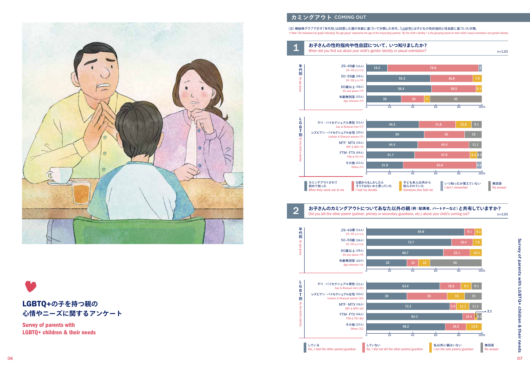

# LGBTQ+**の子を持つ親の 心情やニーズに関するアンケート**

Survey of parents with LGBTQ+ children & their needs

# **カミングアウ ト** COMING OUT

#### (注)横線棒グラフで示す「年代別」は回答した親の年齢に基づいて分類した年代、「LGBT別」は子どもの性的指向と性自認に基づいた分類。 \*Note: The horizontal bar graph indicating "By age group" represents the age of the responding parents; "By the child's identity," is the grouping based on their child's sexual orientation and gender identity.

n=130 1 **お子さんの性的指向や性自認について、いつ知りましたか?** When did you find out about your child's gender identity or sexual orientation?





#### n=130 **お子さんのカミングアウトについてあなた以外の親(例:配偶者、パートナーなど)と共有していますか?** 2 Did you tell the other parent (partner, primary or secondary guardians, etc.) about your child's coming out?<br>Did you tell the other parent (partner, primary or secondary guardians, etc.) about your child's coming out?

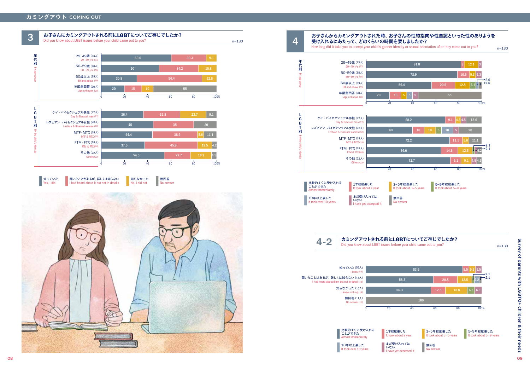# **カミングアウト** COMING OUT



### **お子さんからカミングアウトされた時、お子さんの性的指向や性自認といった性のありようを 受け入れるにあたって、どのくらいの時間を要しましたか?**

How long did it take you to accept your child's gender identity or sexual orientation after they came out to you?

4

n=130



| L<br>G<br>B             | ゲイ・バイセクシュアル男性 (22人)<br>Gay & Bisexual men (22)                                 | 68.2                                 |          |           | $9.1$ 4.54.5            | 13.6        |
|-------------------------|--------------------------------------------------------------------------------|--------------------------------------|----------|-----------|-------------------------|-------------|
| т<br>別                  | レズビアン・バイセクシュアル女性 (20人)<br>Lesbian & Bisexual women (20)                        | 40                                   | 10<br>10 | 10<br>5,  | 5                       | 20          |
|                         | $MTF \cdot MTX$ (18人)<br><b>MTF &amp; MTX (18)</b>                             | 72.2                                 |          |           | 11.1<br>5.6             | 11.1        |
| By the child's identity | $FTM \cdot FTX$ (48 $\lambda$ )<br>FTM & FTX (48)                              | 64.6                                 |          |           | 14.6<br>12.5            | •2.1<br>2.1 |
|                         | その他 (22人)<br>Others (22)                                                       |                                      | 72.7     |           | 9.1<br>9.1              | 4.5 4.5     |
|                         |                                                                                | 20                                   | 40       | 60        | 80                      | 100%        |
|                         | 比較的すぐに受け入れる<br>1年程度要した<br>ことができた<br>It took about a year<br>Almost immediately | 3-5年程度要した<br>It took about 3-5 years |          | 5-9年程度要した | It took about 5-9 years |             |









n=130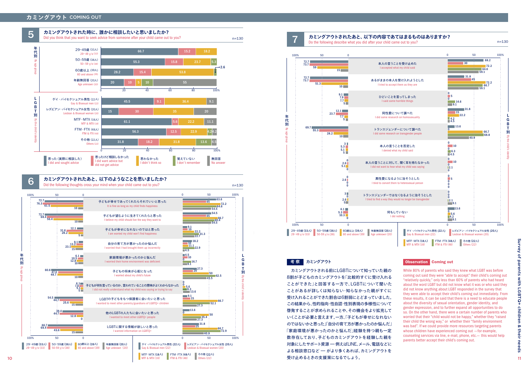



# 考 察 カミングアウト Observation Coming out

カミングアウトされる前にLGBTについて知っていた親の 8割が子どものカミングアウトを「比較的すぐに受け入れる ことができた」と回答する一方で、LGBTについて聞いた ことがあるが詳しくは知らない・知らなかった親がすぐに 受け入れることができた割合は6割弱にとどまっていました。 この結果から、性的指向・性自認・性別表現の多様性について 啓発することが求められることや、その機会をより拡充して いくことが必要と言えます。一方、「子どもが幸せになれない のではないかと思った」「自分の育て方が悪かったのか悩んだ」 「家庭環境が悪かったのかと悩んだ」経験を持つ親も一定 o booth to booth their child's coming of their child's coming out.<br>parents better accept their child's coming out. 対象にしたサポート資源 - 例えばLINE、メール、電話などに よる相談窓口など - がより多くあれば、カミングアウトを 受け止めるときの支援策になるでしょう。

While 80% of parents who said they knew what LGBT was before coming out said they were "able to accept" their child's coming out "relatively quickly," only less than 60% of parents who had heard about the word LGBT but did not know what it was or who said they did not know anything about LGBT responded in the survey that they were able to accept their child's coming out immediately. From these results, it can be said that there is a need to educate people about the diversity of sexual orientation, gender identity, and gender expression, and to further expand all opportunities to do so. On the other hand, there were a certain number of parents who worried that their "child would not be happy," whether they "raised their child the wrong way," or whether their "family environment was bad". If we could provide more resources targeting parents whose children have experienced coming out -for example, whose children have experienced coming out —for example,<br>counseling services via line, e-mail, phone, etc.— this would help<br>parents better accept their child's coming out.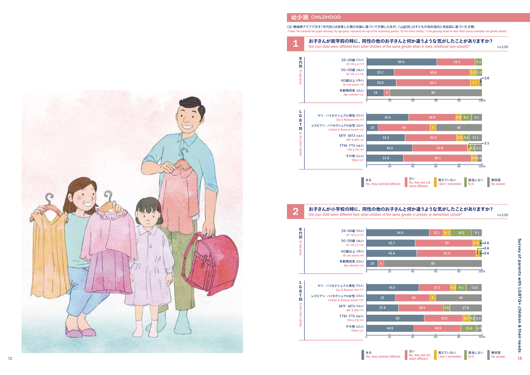## **幼少期** CHILDHOOD

2

(注)横線棒グラフで示す「年代別」は回答した親の年齢に基づいて分類した年代、「LGBT別」は子どもの性的指向と性自認に基づいた分類。 \*Note: The horizontal bar graph indicating "By age group" represents the age of the responding parents; "By the child's identity," is the grouping based on their child's sexual orientation and gender identity.

## **1 お子さんが就学前の時に、同性の他のお子さんと何か違うような気がしたことがありますか?**<br>Did your child seem different from other children of the same gender when in early childhood (pre-school)? n=130





#### **お子さんが小学校の時に、同性の他のお子さんと何か違うような気がしたことがありますか?** Did your child seem different from other children of the same gender in primary or elementary school?





n=130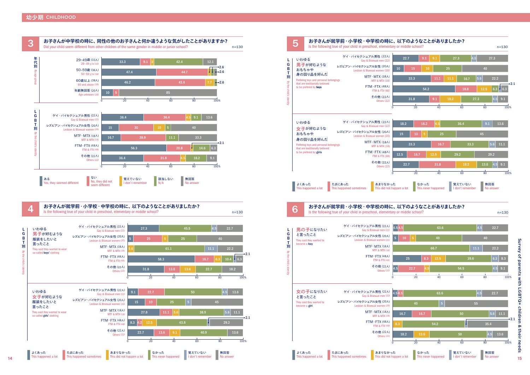





**Commission お子さんが就学前・小学校・中学校の時に、以下のようなことがありましたか?**  $n=130$  here following true of your child in preschool, elementary or middle school?



よくあった This happened a lot

たまにあった **This happened sometimes**  あまりなかった

This did not happen a lot This never happened

なかった

覚えていない I don't remember

0 20 40 60 80 100%

無回答 No answer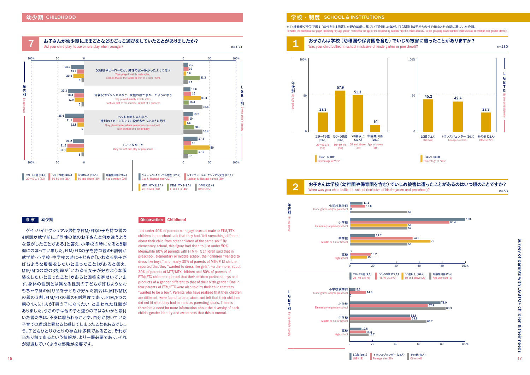

ゲイ・バイセクシュアル男性やFTM/FTXの子を持つ親の 4割弱が就学前に、「同性の他のお子さんと何か違うよう な気がしたことがある」と答え、小学校の時になると5割 弱にのぼっていました。FTM/FTXの子を持つ親の6割弱が 就学前・小学校・中学校の時に子どもが「いわゆる男子が 好むような服装をしたいと言ったこと」があると答え、 MTF/MTXの親の3割弱が「いわゆる女子が好むような服 装をしたいと言ったこと |があると回答を寄せいていま す。身体の性別とは異なる性別の子どもが好むようなお もちゃや身の回り品を子どもが好んだ割合は、MTF/MTX の親の3割、FTM/FTXの親の5割程度であり、FTM/FTXの 親の4人に1人が「男の子になりたい」と言われた経験が ありました。うちの子は他の子と違うのではないかと気付 いた親たちは、不安に駆られることや、自分が抱いていた 子育ての理想と異なると感じてしまったこともあるでしょ う。子どもひとりひとりの存在は多様であること、それが 当たり前であるという情報が、より一層必要であり、それ が浸透していくような啓発が必要です。

## ● 考 察 │ 幼少期 <mark>Observation </mark>Childhood

Just under 40% of parents with gay/bisexual male or FTM/FTX children in preschool said that they had "felt something different about their child from other children of the same sex." By elementary school, this figure had risen to just under 50%. Meanwhile 60% of parents with FTM/FTX children said that in preschool, elementary or middle school, their children "wanted to dress like boys," and nearly 30% of parents of MTF/MTX children reported that they "wanted to dress like girls". Furthermore, about 30% of parents of MTF/MTX children and 50% of parents of FTM/FTX children reported that their children preferred toys and products of a gender different to that of their birth gender. One in four parents of FTM/FTX were also told by their child that they "wanted to be a boy". Parents who have realized that their children are different, were found to be anxious and felt that their children did not fit what they had in mind as parenting ideals. There is therefore a need for more information about the diversity of each child's gender identity and awareness that this is normal.

## **学校・制度** SCHOOL & INSTITUTIONS

\* Note: The horizontal bar graph indicating "By age group" represents the age of the responding parents; "By the child's identity," is the grouping based on their child's sexual orientation and gender identity. (注)横線棒グラフで示す「年代別」は回答した親の年齢に基づいて分類した年代、「LGBT別」は子どもの性的指向と性自認に基づいた分類。





# お子さんは学校 (幼稚園や保育園を含む) でいじめ被害に遭ったことがあるのはいつ頃のことですか?<br>2 When was your child bullied in school (inclusive of kindergarten and preschool)?

n=53





I G B T 別 By the child's identity

別

 $\mathbf{G}$ **R** T

別年代別

jų,

ー<br>-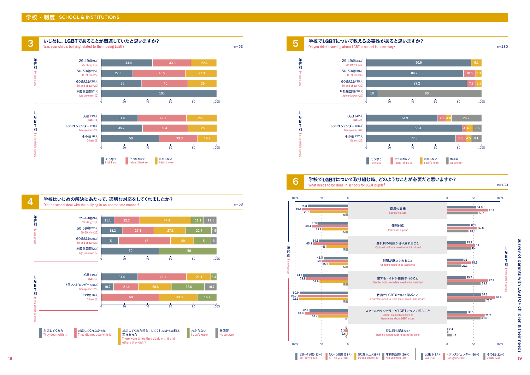







6

#### **学校で**LGBT**について取り組む時、どのようなことが必要だと思いますか?** What needs to be done in schools for LGBT pupils?

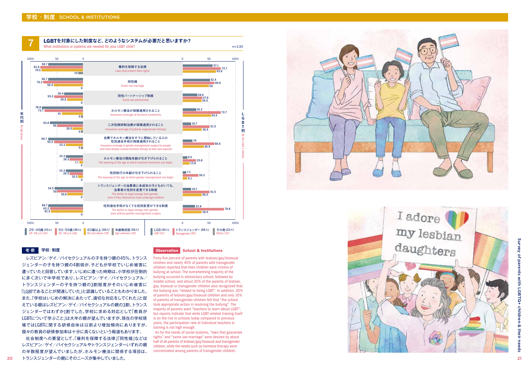

# 考察 学校·制度

レズビアン/ゲイ/バイセクシュアルの子を持つ親の45%、トランス ジェンダーの子を持つ親の 4割弱が、子どもが学校でいじめ被害に 遭っていたと回答しています。いじめに遭った時期は、小学校が圧倒的 に多く次いで中学校であり、レズビアン/ゲイ/バイセクシュアル/ トランスジェンダーの子を持つ親の 3割程度がそのいじめ被害に 「LGBTであることが関連していた」と認識していることもわかりました。 また、「学校はいじめの解決にあたって、適切な対応をしてくれた」と捉 えている親はレズビアン/ゲイ/バイセクシュアルの親の 3割、トランス ジェンダーではわずか 1割でした。学校に求める対応として「教員が LGBTについて学ぶこと」は大半の親が望んでいますが、現在の学校現 場ではLGBTに関する研修自体は以前より増加傾向にありますが、 個々の教員の研修参加率は十分に高くないという報道もあります。

社会制度への要望として、「権利を保障する法律」「同性婚」などは レズビアン/ゲイ/バイセクシュアルやトランスジェンダーいずれの親 の半数程度が望んでいましたが、ホルモン療法に関係する項目は、

Forty-five percent of parents with lesbian/gay/bisexual children and nearly 40% of parents with transgender children reported that their children were victims of bullying at school. The overwhelming majority of the bullying occurred in elementary school, followed by middle school, and about 30% of the parents of lesbian, gay, bisexual or transgender children also recognized that the bullying was "related to being LGBT". In addition, 30% of parents of lesbian/gay/bisexual children and only 10% of parents of transgender children felt that "the school took appropriate action in resolving the bullying". The majority of parents want "teachers to learn about LGBT", but reports indicate that while LGBT-related training itself is on the rise in schools today compared to previous years, the participation rate of individual teachers in training is not high enough.

 As for the needs of social systems, "laws that guarantee rights" and "same-sex marriage" were desired by about half of all parents of lesbian/gay/bisexual and transgender children, while the needs such as hormone therapy were



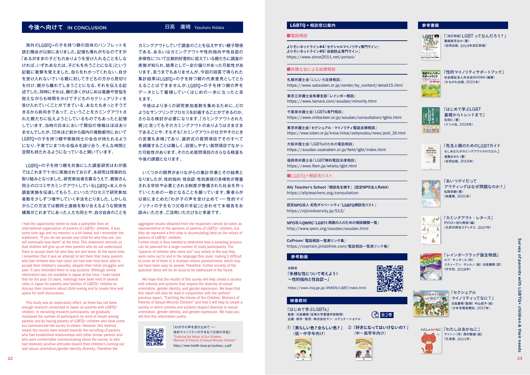# **今後へ向けて** IN CONCLUSION

海外のLGBTQ+の子を持つ親の団体のパンフレットを 読む機会が以前にありました。記憶も薄れがちなのですが 「あるがままの子どものありようを受け入れることをしな ければ、いずれあなたは、子どもを失うことになる」という 記載に衝撃を覚えました。自らをわかってくれない、自分 を受け入れないでいる親に対して子どもの方から見切り を付け、親から離れてしまうことになる、それを伝える記 述でした。同時にそれは、親の多くがはじめは葛藤や苦悩を 抱えながらも時間をかけて子どものセクシュアリティを 受け入れていくことができている、あなたもきっとそうで きるから前向きであって、ということをカミングアウトさ れた親たちに伝えようとしているものでもあったと記憶 しています。当時の日本において類似の情報はほぼあり ませんでしたが、15年ほど前から国内の複数都市において LGBTQ+の子を持つ親や家族同士の会合が持たれるよう になり、子育てにまつわる悩みを語り合う、そんな時間と 空間も持たれるようになっていると聞いています。

LGBTQ+の子を持つ親を対象にした調査研究はわが国 ではこれまで十分に実施されておらず、本研究は探索的な 取り組みとなりました。研究参加者を募るうえで、親御さん 同士の口コミやカミングアウトしているLGBTQ+本人から 調査実施を伝達してもらう、といったプロセスで研究参加 者数を少しずつ増やしていく手法をとりました。しかしな がらこの方法では親同士連絡を取り合えるような関係性 構築がこれまでにあった人たち同士や、自分自身のことを

I had the opportunity earlier to read a pamphlet from an international organization of parents of LGBTQ+ children. It was some time ago and my memory is a bit faded, but I remember the statement, "If you do not accept your child for who they are, you will eventually lose them" at the time. This statement reminds us that children will give up on their parents who do not understand them or accept them for who they are and leave. At the same time, I remember that it was an attempt to tell them that many parents who had children who had come out had over time been able to accept their children's sexuality, despite their initial struggles and pain. It also reminded them to stay positive. Although similar information was not available in Japan at the time, I have heard that for the past 15 years, meetings have been held in several cities in Japan for parents and families of LGBTQ+ children to discuss their concerns about child-rearing and to create time and space for such discussions.

This study was an exploratory effort, as there has not been enough research conducted in Japan on parents with LGBTQ+ children. In recruiting research participants, we gradually increased the number of participants by word of mouth among parents and by having parents of LGBTQ+ children who have come out communicate the survey to others. However, this method meant the results were biased towards the recruiting of parents who had established relationships with other similar parents and who were comfortable communicating about the survey, or who had relatively positive attitudes toward their children's coming out and sexual orientation/gender identity diversity. Therefore the

カミングアウトしていて調査のことを伝えやすい親子関係 である、あるいはカミングアウトや性的指向や性自認の 多様性について比較的好意的に捉えている親たちに調査の 実施が知られ、結果として一定の偏りがあった可能性があ ります。言うまでもありませんが、今回の回答で得られた 集計結果はLGBTQ+の子を持つ親の代表意見としてとら

# えることはできませんが、LGBTQ+の子を持つ親の声を データとして蓄積していくはじめの一歩になったと言 えます。 今後はより多くの研究参加者数を集めるために、どの

ようなサンプリングプロセスを計画することができるのか、 さらなる検討が必要になります。「カミングアウトされた 親」と言ってもそのカミングアウトのありようはさまざま であることや、そもそも「カミングアウトの仕方やそのとき の言葉も多様」であり、選択式の質問項目でそのすべて を網羅することは難しく、回答しやすい質問項目でなかっ た可能性があります。そのため質問項目のさらなる精査も 今後の課題となります。

いくつかの限界がありながらの集計作業とその結果と なりましたが、性的指向・性自認・性別表現の多様性が尊重 される学校や必要とされる制度が整備された社会を作っ ていくための一助となることを願っています。筆者らが 以前にまとめた「わが子の声を受け止めて––性的マイ ノリティの子をもつ父母の手記」と合わせて本報告をお 読みいただき、ご活用いただけると幸甚です。

aggregate results obtained from the responses cannot be taken as representative of the opinions of parents of LGBTQ+ children, but they do represent a first step in accumulating data on the voices of parents of LGBTQ+ children.

Further study is thus needed to determine how a sampling process can be planned for a larger number of study participants. The "parents of children who came out" vary widely in the way they were came out to and in the language they used, making it difficult to cover all of them in a multiple-choice questionnaire, which may not have been easy to answer. Therefore, further scrutiny of the question items will be an issue to be addressed in the future.

We hope that the results of this survey will help create a society with schools and systems that respect the diversity of sexual orientation, gender identity, and gender expression. We hope that this report will also be read in conjunction with the authors' previous report, "Catching the Voices of Our Children: Memoirs of Parents of Sexual Minority Children" and that it will help to create a society in which schools and systems respect diversity in sexual orientation, gender identity, and gender expression. We hope you will find this information useful.

「わが子の声を受け止めて– Designed 性的マイノリティの子をもつ父母の手記」 "Catching the Voices of Our Children: Memoirs of Parents of Sexual Minority Children" https://www.health-issue.jp/syukisyu\_s.pdf

# 日高 庸晴 Yasuharu Hidaka **LGBTQ +相談窓口案内**

### ■電話相談

よりそいホットライン#4「セクシャルマイノリティ専門ライン」 よりそいホットライン#5「自殺防止専門ライン」 https://www.since2011.net/yorisoi/

### ■弁護士会による法律相談

札幌弁護士会「にじいろ法律相談」 https://www.satsuben.or.jp/center/by\_content/detail15.html

東京三弁護士会多摩支部「レインボー相談」 https://www.tama-b.com/soudan/minority.html

千葉県弁護士会「LGBTs専門相談」 https://www.chiba-ben.or.jp/soudan/consultation/lgbts.html

東京弁護士会「セクシュアル・マイノリティ電話法律相談」 https://www.toben.or.jp/know/iinkai/seibyoudou/news/post\_26.html

大阪弁護士会「LGBTsのための電話相談」 https://soudan.osakaben.or.jp/field/lgbt/index.html

福岡県弁護士会「LGBT無料電話法律相談」 https://www.fben.jp/whats/lgbt.html

■LGBTO+相談先リスト

Ally Teacher's School「相談先を探す」(認定NPO法人Rebit) https://allyteachers.org/consultation

認定NPO法人 虹色ダイバーシティ「LGBTQ相談先リスト」 https://nijiirodiversity.jp/513/

NPO法人QWRC「LGBTと周囲の人のための相談機関一覧」 http://www.qwrc.org/soudan/soudan.html

CoPrism「電話相談一覧表リンク集」 https://coprism.jimdofree.com/電話相談一覧表リンク集/

# **参考動画**

法務省 『多様な性について考えよう! ~性的指向と性自認~』

https://www.moj.go.jp/JINKEN/LGBT/index.html

### **映像教材**

『はじめて学ぶLGBTs』 監修:日高庸晴(宝塚大学看護学部教授) 企画・制作・販売:株式会社サン・エデュケーショナル

① 『男らしい色?女らしい色?』 ② 『好きになってはいけないの?**』** 〈低~中学年向け〉 〈中~高学年向け〉

(2) 全2巻



### **参考書籍**

عبصه

性的マイノリティ

LGBT **FR**<br>Press<sub>257</sub> 『[改訂新版]LGBTってなんだろう?』 藥師実芳ほか(著) (合同出版、2019年改訂新版) 

> 『性的マイノリティサポートブック』 社会福祉法人共生会SHOWA(編著)



han so

『はじめて学ぶLGBT 基礎からトレンドまで』 石田仁(著) (ナツメ社、2019年)



(合同出版、2016年)

『先生と親のためのLGBTガイド



『あいつゲイだって アウティングはなぜ問題なのか?』 松岡宗嗣(著) (柏書房、2021年)

■■ 『カミングアウト・レターズ』 RYOJI+砂川秀樹(編) (太郎次郎社エディタス、2007年)



『レインボーフラッグ誕生物語』 ロブ・サンダース(作) スティーブン・サレルノ(絵)日高庸晴(訳) (汐文社、2018年)





Survey of



読ん **Inc.**